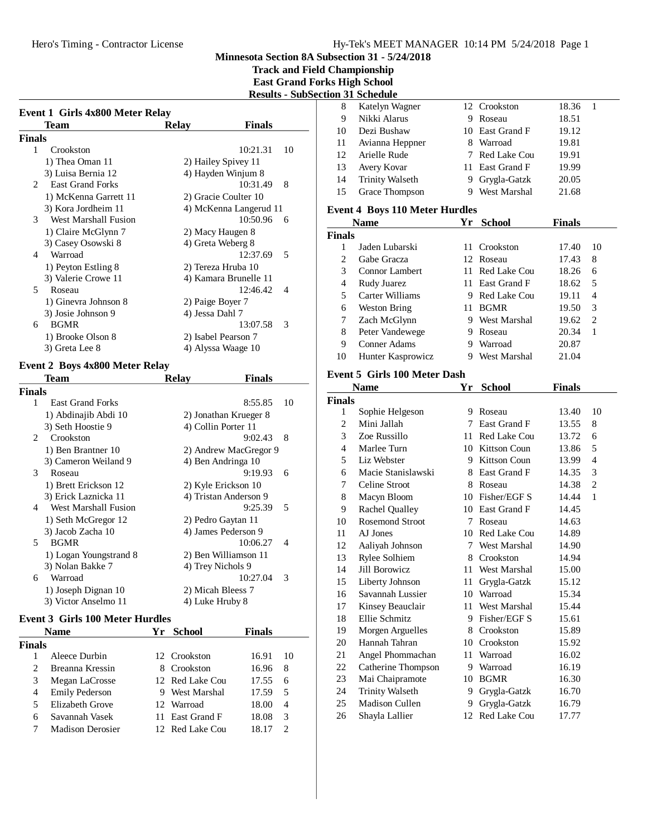**Track and Field Championship East Grand Forks High School**

## **Results - SubSection 31 Schedule**

| Team                                      | Relay           | <b>Finals</b>              |
|-------------------------------------------|-----------------|----------------------------|
| Finals                                    |                 |                            |
| $\mathbf{1}$<br>Crookston                 |                 | 10:21.31<br>10             |
| 1) Thea Oman 11                           |                 | 2) Hailey Spivey 11        |
| 3) Luisa Bernia 12                        |                 | 4) Hayden Winjum 8         |
| <b>East Grand Forks</b><br>$\mathfrak{D}$ |                 | 10:31.49<br>8              |
| 1) McKenna Garrett 11                     |                 | 2) Gracie Coulter 10       |
| 3) Kora Jordheim 11                       |                 | 4) McKenna Langerud 11     |
| West Marshall Fusion<br>3                 |                 | 10:50.96<br>- 6            |
| 1) Claire McGlynn 7                       |                 | 2) Macy Haugen 8           |
| 3) Casey Osowski 8                        |                 | 4) Greta Weberg 8          |
| Warroad<br>4                              |                 | 12:37.69<br>5              |
| 1) Peyton Estling 8                       |                 | 2) Tereza Hruba 10         |
| 3) Valerie Crowe 11                       |                 | 4) Kamara Brunelle 11      |
| 5<br>Roseau                               |                 | 12:46.42<br>$\overline{4}$ |
| 1) Ginevra Johnson 8                      |                 | 2) Paige Boyer 7           |
| 3) Josie Johnson 9                        | 4) Jessa Dahl 7 |                            |
| <b>BGMR</b><br>6                          |                 | 13:07.58<br>3              |
| 1) Brooke Olson 8                         |                 | 2) Isabel Pearson 7        |
| 3) Greta Lee 8                            |                 | 4) Alyssa Waage 10         |

# **Event 2 Boys 4x800 Meter Relay**

|               | Team                    | Relav             | Finals                              |    |
|---------------|-------------------------|-------------------|-------------------------------------|----|
| <b>Finals</b> |                         |                   |                                     |    |
| 1             | <b>East Grand Forks</b> |                   | 8:55.85                             | 10 |
|               | 1) Abdinajib Abdi 10    |                   | 2) Jonathan Krueger 8               |    |
|               | 3) Seth Hoostie 9       |                   | 4) Collin Porter 11                 |    |
| 2             | Crookston               |                   | 8<br>9:02.43                        |    |
|               | 1) Ben Brantner 10      |                   | 2) Andrew MacGregor 9               |    |
|               | 3) Cameron Weiland 9    |                   | 4) Ben Andringa 10                  |    |
| 3             | Roseau                  |                   | 9:19.93<br>6                        |    |
|               | 1) Brett Erickson 12    |                   | 2) Kyle Erickson 10                 |    |
|               | 3) Erick Laznicka 11    |                   | 4) Tristan Anderson 9               |    |
| 4             | West Marshall Fusion    |                   | 9:25.39<br>$\overline{\phantom{1}}$ |    |
|               | 1) Seth McGregor 12     |                   | 2) Pedro Gaytan 11                  |    |
|               | 3) Jacob Zacha 10       |                   | 4) James Pederson 9                 |    |
| 5.            | <b>BGMR</b>             |                   | 10:06.27<br>$\overline{4}$          |    |
|               | 1) Logan Youngstrand 8  |                   | 2) Ben Williamson 11                |    |
|               | 3) Nolan Bakke 7        | 4) Trey Nichols 9 |                                     |    |
| 6             | Warroad                 |                   | 10:27.04<br>3                       |    |
|               | 1) Joseph Dignan 10     | 2) Micah Bleess 7 |                                     |    |
|               | 3) Victor Anselmo 11    | 4) Luke Hruby 8   |                                     |    |
|               |                         |                   |                                     |    |

### **Event 3 Girls 100 Meter Hurdles**

|               | <b>Name</b>             | Yr. | School          | <b>Finals</b> |    |
|---------------|-------------------------|-----|-----------------|---------------|----|
| <b>Finals</b> |                         |     |                 |               |    |
|               | Aleece Durbin           |     | 12 Crookston    | 16.91         | 10 |
| 2             | Breanna Kressin         |     | 8 Crookston     | 16.96         | 8  |
| 3             | Megan LaCrosse          |     | 12 Red Lake Cou | 17.55         | 6  |
| 4             | <b>Emily Pederson</b>   |     | 9 West Marshal  | 17.59         | 5  |
| 5             | Elizabeth Grove         |     | 12 Warroad      | 18.00         | 4  |
| 6             | Savannah Vasek          |     | 11 East Grand F | 18.08         | 3  |
|               | <b>Madison Derosier</b> |     | 12 Red Lake Cou |               |    |

|                    | ион эт эспечше                        |     |                 |               |    |
|--------------------|---------------------------------------|-----|-----------------|---------------|----|
| 8                  | Katelyn Wagner                        |     | 12 Crookston    | 18.36         | 1  |
| 9                  | Nikki Alarus                          |     | 9 Roseau        | 18.51         |    |
| 10                 | Dezi Bushaw                           |     | 10 East Grand F | 19.12         |    |
| 11                 | Avianna Heppner                       |     | 8 Warroad       | 19.81         |    |
| 12                 | Arielle Rude                          |     | 7 Red Lake Cou  | 19.91         |    |
| 13                 | Avery Kovar                           | 11. | East Grand F    | 19.99         |    |
| 14                 | <b>Trinity Walseth</b>                | 9.  | Grygla-Gatzk    | 20.05         |    |
| 15                 | Grace Thompson                        |     | 9 West Marshal  | 21.68         |    |
|                    | <b>Event 4 Boys 110 Meter Hurdles</b> |     |                 |               |    |
|                    | <b>Name</b>                           |     | Yr School       | <b>Finals</b> |    |
| <b>Finals</b>      |                                       |     |                 |               |    |
| 1                  | Jaden Lubarski                        |     | 11 Crookston    | 17.40         | 10 |
| $\overline{c}$     | Gabe Gracza                           |     | 12 Roseau       | 17.43         | 8  |
| 3                  | Connor Lambert                        |     | 11 Red Lake Cou | 18.26         | 6  |
| $\overline{4}$     | Rudy Juarez                           |     | 11 East Grand F | 18.62         | 5  |
| 5                  | Carter Williams                       |     | 9 Red Lake Cou  | 19.11         | 4  |
| 6                  | <b>Weston Bring</b>                   |     | 11 BGMR         | 19.50         | 3  |
| 7                  | Zach McGlynn                          |     | 9 West Marshal  | 19.62         | 2  |
| 8                  | Peter Vandewege                       |     | 9 Roseau        | 20.34         | 1  |
| 9                  | <b>Conner Adams</b>                   |     | 9 Warroad       | 20.87         |    |
| 10                 | Hunter Kasprowicz                     |     | 9 West Marshal  | 21.04         |    |
|                    | <b>Event 5 Girls 100 Meter Dash</b>   |     |                 |               |    |
|                    |                                       |     |                 |               |    |
|                    | <b>Name</b>                           | Yr  | <b>School</b>   | <b>Finals</b> |    |
| <b>Finals</b><br>1 |                                       |     | 9 Roseau        | 13.40         | 10 |
| 2                  | Sophie Helgeson<br>Mini Jallah        |     | 7 East Grand F  | 13.55         | 8  |
| 3                  | Zoe Russillo                          |     | 11 Red Lake Cou | 13.72         | 6  |
| 4                  | Marlee Turn                           |     | 10 Kittson Coun | 13.86         | 5  |
| 5                  | Liz Webster                           |     | 9 Kittson Coun  | 13.99         | 4  |
| 6                  | Macie Stanislawski                    |     | 8 East Grand F  | 14.35         | 3  |
| 7                  | Celine Stroot                         |     | 8 Roseau        | 14.38         | 2  |
| 8                  | Macyn Bloom                           |     | 10 Fisher/EGF S | 14.44         | 1  |
| 9                  | Rachel Qualley                        |     | 10 East Grand F | 14.45         |    |
| 10                 | <b>Rosemond Stroot</b>                | 7   | Roseau          | 14.63         |    |
| 11                 | AJ Jones                              |     | 10 Red Lake Cou | 14.89         |    |
| 12                 | Aaliyah Johnson                       | 7   | West Marshal    | 14.90         |    |
| 13                 | Rylee Solhiem                         |     | 8 Crookston     | 14.94         |    |
| 14                 | Jill Borowicz                         |     | 11 West Marshal | 15.00         |    |
| 15                 | Liberty Johnson                       | 11  | Grygla-Gatzk    | 15.12         |    |
| 16                 | Savannah Lussier                      | 10  | Warroad         | 15.34         |    |
| 17                 | Kinsey Beauclair                      | 11  | West Marshal    | 15.44         |    |
| 18                 | Ellie Schmitz                         | 9.  | Fisher/EGF S    | 15.61         |    |
| 19                 | Morgen Arguelles                      | 8   | Crookston       | 15.89         |    |
| 20                 | Hannah Tahran                         | 10  | Crookston       | 15.92         |    |
| 21                 | Angel Phommachan                      | 11  | Warroad         | 16.02         |    |
| 22                 | Catherine Thompson                    | 9.  | Warroad         | 16.19         |    |
| 23                 | Mai Chaipramote                       | 10  | <b>BGMR</b>     | 16.30         |    |
| 24                 | <b>Trinity Walseth</b>                | 9.  | Grygla-Gatzk    | 16.70         |    |
| 25                 | Madison Cullen                        | 9.  | Grygla-Gatzk    |               |    |
|                    |                                       |     |                 | 16.79         |    |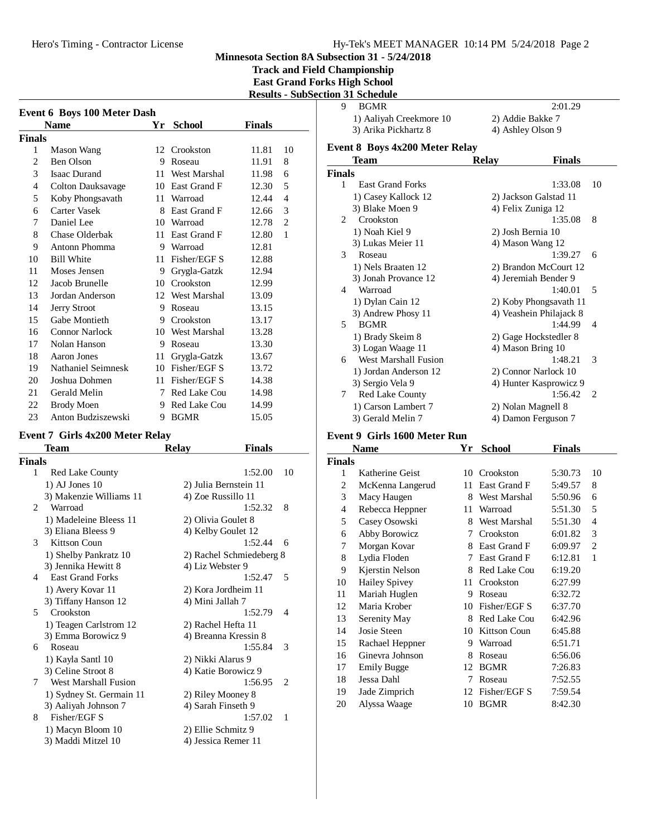#### Hy-Tek's MEET MANAGER 10:14 PM 5/24/2018 Page 2

**Minnesota Section 8A Subsection 31 - 5/24/2018**

**Track and Field Championship East Grand Forks High School Results - SubSection 31 Schedule**

| <b>Event 6 Boys 100 Meter Dash</b> |                          |    |                 |               |    |  |
|------------------------------------|--------------------------|----|-----------------|---------------|----|--|
|                                    | <b>Name</b>              | Yr | School          | <b>Finals</b> |    |  |
| <b>Finals</b>                      |                          |    |                 |               |    |  |
| 1                                  | Mason Wang               |    | 12 Crookston    | 11.81         | 10 |  |
| $\overline{c}$                     | Ben Olson                | 9  | Roseau          | 11.91         | 8  |  |
| 3                                  | <b>Isaac Durand</b>      | 11 | West Marshal    | 11.98         | 6  |  |
| 4                                  | <b>Colton Dauksavage</b> | 10 | East Grand F    | 12.30         | 5  |  |
| 5                                  | Koby Phongsavath         | 11 | Warroad         | 12.44         | 4  |  |
| 6                                  | <b>Carter Vasek</b>      | 8  | East Grand F    | 12.66         | 3  |  |
| 7                                  | Daniel Lee               |    | 10 Warroad      | 12.78         | 2  |  |
| 8                                  | Chase Olderbak           | 11 | East Grand F    | 12.80         | 1  |  |
| 9                                  | Antonn Phomma            | 9  | Warroad         | 12.81         |    |  |
| 10                                 | <b>Bill White</b>        | 11 | Fisher/EGF S    | 12.88         |    |  |
| 11                                 | Moses Jensen             | 9  | Grygla-Gatzk    | 12.94         |    |  |
| 12                                 | Jacob Brunelle           | 10 | Crookston       | 12.99         |    |  |
| 13                                 | Jordan Anderson          |    | 12 West Marshal | 13.09         |    |  |
| 14                                 | Jerry Stroot             | 9  | Roseau          | 13.15         |    |  |
| 15                                 | Gabe Montieth            |    | 9 Crookston     | 13.17         |    |  |
| 16                                 | <b>Connor Narlock</b>    |    | 10 West Marshal | 13.28         |    |  |
| 17                                 | Nolan Hanson             | 9  | Roseau          | 13.30         |    |  |
| 18                                 | Aaron Jones              | 11 | Grygla-Gatzk    | 13.67         |    |  |
| 19                                 | Nathaniel Seimnesk       |    | 10 Fisher/EGF S | 13.72         |    |  |
| 20                                 | Joshua Dohmen            |    | 11 Fisher/EGF S | 14.38         |    |  |
| 21                                 | Gerald Melin             | 7  | Red Lake Cou    | 14.98         |    |  |
| 22                                 | <b>Brody Moen</b>        | 9  | Red Lake Cou    | 14.99         |    |  |
| 23                                 | Anton Budziszewski       | 9  | <b>BGMR</b>     | 15.05         |    |  |

# **Event 7 Girls 4x200 Meter Relay**

| Team                     | <b>Relay</b> | <b>Finals</b> |                                                                                                                                                                                                                                                                                                                                                                      |
|--------------------------|--------------|---------------|----------------------------------------------------------------------------------------------------------------------------------------------------------------------------------------------------------------------------------------------------------------------------------------------------------------------------------------------------------------------|
| <b>Finals</b>            |              |               |                                                                                                                                                                                                                                                                                                                                                                      |
| <b>Red Lake County</b>   |              | 1:52.00       | 10                                                                                                                                                                                                                                                                                                                                                                   |
| $1)$ AJ Jones $10$       |              |               |                                                                                                                                                                                                                                                                                                                                                                      |
| 3) Makenzie Williams 11  |              |               |                                                                                                                                                                                                                                                                                                                                                                      |
| Warroad                  |              | 1:52.32       | 8                                                                                                                                                                                                                                                                                                                                                                    |
| 1) Madeleine Bleess 11   |              |               |                                                                                                                                                                                                                                                                                                                                                                      |
| 3) Eliana Bleess 9       |              |               |                                                                                                                                                                                                                                                                                                                                                                      |
| Kittson Coun             |              | 1:52.44       | 6                                                                                                                                                                                                                                                                                                                                                                    |
| 1) Shelby Pankratz 10    |              |               |                                                                                                                                                                                                                                                                                                                                                                      |
| 3) Jennika Hewitt 8      |              |               |                                                                                                                                                                                                                                                                                                                                                                      |
| <b>East Grand Forks</b>  |              | 1:52.47       | 5                                                                                                                                                                                                                                                                                                                                                                    |
| 1) Avery Kovar 11        |              |               |                                                                                                                                                                                                                                                                                                                                                                      |
| 3) Tiffany Hanson 12     |              |               |                                                                                                                                                                                                                                                                                                                                                                      |
| Crookston                |              | 1:52.79       | 4                                                                                                                                                                                                                                                                                                                                                                    |
| 1) Teagen Carlstrom 12   |              |               |                                                                                                                                                                                                                                                                                                                                                                      |
| 3) Emma Borowicz 9       |              |               |                                                                                                                                                                                                                                                                                                                                                                      |
| Roseau                   |              | 1:55.84       | 3                                                                                                                                                                                                                                                                                                                                                                    |
| 1) Kayla Santl 10        |              |               |                                                                                                                                                                                                                                                                                                                                                                      |
| 3) Celine Stroot 8       |              |               |                                                                                                                                                                                                                                                                                                                                                                      |
| West Marshall Fusion     |              | 1:56.95       | 2                                                                                                                                                                                                                                                                                                                                                                    |
| 1) Sydney St. Germain 11 |              |               |                                                                                                                                                                                                                                                                                                                                                                      |
| 3) Aaliyah Johnson 7     |              |               |                                                                                                                                                                                                                                                                                                                                                                      |
| Fisher/EGF S             |              | 1:57.02       | 1                                                                                                                                                                                                                                                                                                                                                                    |
| 1) Macyn Bloom 10        |              |               |                                                                                                                                                                                                                                                                                                                                                                      |
| 3) Maddi Mitzel 10       |              |               |                                                                                                                                                                                                                                                                                                                                                                      |
|                          |              |               | 2) Julia Bernstein 11<br>4) Zoe Russillo 11<br>2) Olivia Goulet 8<br>4) Kelby Goulet 12<br>2) Rachel Schmiedeberg 8<br>4) Liz Webster 9<br>2) Kora Jordheim 11<br>4) Mini Jallah 7<br>2) Rachel Hefta 11<br>4) Breanna Kressin 8<br>2) Nikki Alarus 9<br>4) Katie Borowicz 9<br>2) Riley Mooney 8<br>4) Sarah Finseth 9<br>2) Ellie Schmitz 9<br>4) Jessica Remer 11 |

|   | и эт эспечие            |                   |
|---|-------------------------|-------------------|
| О | <b>BGMR</b>             | 2:01.29           |
|   | 1) Aaliyah Creekmore 10 | 2) Addie Bakke 7  |
|   | 3) Arika Pickhartz 8    | 4) Ashley Olson 9 |
|   |                         |                   |

### **Event 8 Boys 4x200 Meter Relay**

|                               | Team                        | <b>Relay</b>       | <b>Finals</b>           |                             |
|-------------------------------|-----------------------------|--------------------|-------------------------|-----------------------------|
| <b>Finals</b>                 |                             |                    |                         |                             |
| 1                             | <b>East Grand Forks</b>     |                    | 1:33.08                 | 10                          |
|                               | 1) Casey Kallock 12         |                    | 2) Jackson Galstad 11   |                             |
|                               | 3) Blake Moen 9             | 4) Felix Zuniga 12 |                         |                             |
| $\mathfrak{D}_{\mathfrak{p}}$ | Crookston                   |                    | 1:35.08                 | 8                           |
|                               | 1) Noah Kiel 9              | 2) Josh Bernia 10  |                         |                             |
|                               | 3) Lukas Meier 11           | 4) Mason Wang 12   |                         |                             |
| $\mathcal{F}$                 | Roseau                      |                    | 1:39.27                 | 6                           |
|                               | 1) Nels Braaten 12          |                    | 2) Brandon McCourt 12   |                             |
|                               | 3) Jonah Provance 12        |                    | 4) Jeremiah Bender 9    |                             |
| 4                             | Warroad                     |                    | 1:40.01                 | 5                           |
|                               | 1) Dylan Cain 12            |                    | 2) Koby Phongsavath 11  |                             |
|                               | 3) Andrew Phosy 11          |                    | 4) Veashein Philajack 8 |                             |
| 5                             | <b>BGMR</b>                 |                    | 1:44.99                 | $\overline{\mathcal{A}}$    |
|                               | 1) Brady Skeim 8            |                    | 2) Gage Hockstedler 8   |                             |
|                               | 3) Logan Waage 11           | 4) Mason Bring 10  |                         |                             |
| 6                             | <b>West Marshall Fusion</b> |                    | 1:48.21                 | 3                           |
|                               | 1) Jordan Anderson 12       |                    | 2) Connor Narlock 10    |                             |
|                               | 3) Sergio Vela 9            |                    | 4) Hunter Kasprowicz 9  |                             |
| 7                             | <b>Red Lake County</b>      |                    | 1:56.42                 | $\mathcal{D}_{\mathcal{L}}$ |
|                               | 1) Carson Lambert 7         | 2) Nolan Magnell 8 |                         |                             |
|                               | 3) Gerald Melin 7           |                    | 4) Damon Ferguson 7     |                             |

# **Event 9 Girls 1600 Meter Run**<br>Name **Vr**

|                | <b>Name</b>          | Yr | <b>School</b> | Finals  |    |
|----------------|----------------------|----|---------------|---------|----|
| Finals         |                      |    |               |         |    |
| 1              | Katherine Geist      | 10 | Crookston     | 5:30.73 | 10 |
| 2              | McKenna Langerud     | 11 | East Grand F  | 5:49.57 | 8  |
| 3              | Macy Haugen          | 8  | West Marshal  | 5:50.96 | 6  |
| $\overline{4}$ | Rebecca Heppner      | 11 | Warroad       | 5:51.30 | 5  |
| 5              | Casey Osowski        | 8  | West Marshal  | 5:51.30 | 4  |
| 6              | Abby Borowicz        | 7  | Crookston     | 6:01.82 | 3  |
| 7              | Morgan Kovar         | 8  | East Grand F  | 6:09.97 | 2  |
| 8              | Lydia Floden         | 7  | East Grand F  | 6:12.81 | 1  |
| 9              | Kjerstin Nelson      | 8  | Red Lake Cou  | 6:19.20 |    |
| 10             | <b>Hailey Spivey</b> | 11 | Crookston     | 6:27.99 |    |
| 11             | Mariah Huglen        | 9  | Roseau        | 6:32.72 |    |
| 12             | Maria Krober         | 10 | Fisher/EGF S  | 6:37.70 |    |
| 13             | Serenity May         | 8  | Red Lake Cou  | 6:42.96 |    |
| 14             | Josie Steen          | 10 | Kittson Coun  | 6:45.88 |    |
| 15             | Rachael Heppner      | 9  | Warroad       | 6:51.71 |    |
| 16             | Ginevra Johnson      | 8  | Roseau        | 6:56.06 |    |
| 17             | <b>Emily Bugge</b>   | 12 | <b>BGMR</b>   | 7:26.83 |    |
| 18             | Jessa Dahl           | 7  | Roseau        | 7:52.55 |    |
| 19             | Jade Zimprich        | 12 | Fisher/EGF S  | 7:59.54 |    |
| 20             | Alyssa Waage         | 10 | <b>BGMR</b>   | 8:42.30 |    |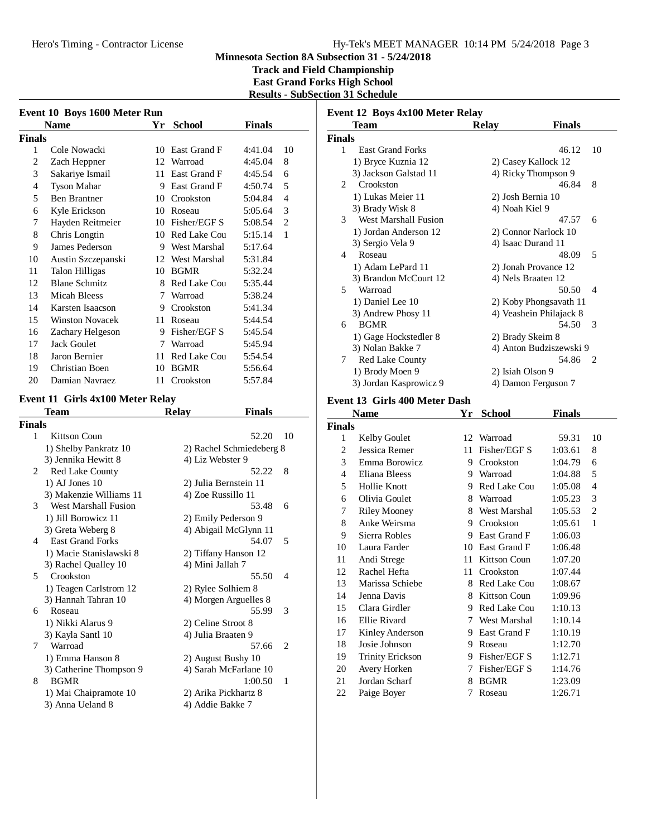**Track and Field Championship East Grand Forks High School Results - SubSection 31 Schedule**

| Event 10 Boys 1600 Meter Run |                                  |     |                          |               |    |  |
|------------------------------|----------------------------------|-----|--------------------------|---------------|----|--|
|                              | Name                             | Yr  | <b>School</b>            | <b>Finals</b> |    |  |
| Finals                       |                                  |     |                          |               |    |  |
| 1                            | Cole Nowacki                     |     | 10 East Grand F          | 4:41.04       | 10 |  |
| $\overline{2}$               | Zach Heppner                     |     | 12 Warroad               | 4:45.04       | 8  |  |
| 3                            | Sakariye Ismail                  |     | 11 East Grand F          | 4:45.54       | 6  |  |
| 4                            | <b>Tyson Mahar</b>               |     | 9 East Grand F           | 4:50.74       | 5  |  |
| 5                            | <b>Ben Brantner</b>              |     | 10 Crookston             | 5:04.84       | 4  |  |
| 6                            | Kyle Erickson                    |     | 10 Roseau                | 5:05.64       | 3  |  |
| 7                            | Hayden Reitmeier                 |     | 10 Fisher/EGF S          | 5:08.54       | 2  |  |
| 8                            | Chris Longtin                    |     | 10 Red Lake Cou          | 5:15.14       | 1  |  |
| 9                            | James Pederson                   |     | 9 West Marshal           | 5:17.64       |    |  |
| 10                           | Austin Szczepanski               |     | 12 West Marshal          | 5:31.84       |    |  |
| 11                           | Talon Hilligas                   |     | 10 BGMR                  | 5:32.24       |    |  |
| 12                           | <b>Blane Schmitz</b>             |     | 8 Red Lake Cou           | 5:35.44       |    |  |
| 13                           | <b>Micah Bleess</b>              |     | 7 Warroad                | 5:38.24       |    |  |
| 14                           | Karsten Isaacson                 |     | 9 Crookston              | 5:41.34       |    |  |
| 15                           | <b>Winston Novacek</b>           |     | 11 Roseau                | 5:44.54       |    |  |
| 16                           | Zachary Helgeson                 |     | 9 Fisher/EGF S           | 5:45.54       |    |  |
| 17                           | <b>Jack Goulet</b>               |     | 7 Warroad                | 5:45.94       |    |  |
| 18                           | Jaron Bernier                    |     | 11 Red Lake Cou          | 5:54.54       |    |  |
| 19                           | Christian Boen                   |     | 10 BGMR                  | 5:56.64       |    |  |
| 20                           | Damian Navraez                   | 11- | Crookston                | 5:57.84       |    |  |
|                              | Event 11 Girls 4x100 Meter Relay |     |                          |               |    |  |
|                              | <b>Team</b>                      |     | <b>Relay</b>             | <b>Finals</b> |    |  |
| Finals                       |                                  |     |                          |               |    |  |
| 1                            | <b>Kittson Coun</b>              |     |                          | 52.20         | 10 |  |
|                              | 1) Shelby Pankratz 10            |     | 2) Rachel Schmiedeberg 8 |               |    |  |
|                              | 3) Jennika Hewitt 8              |     | 4) Liz Webster 9         |               |    |  |
| 2                            | Red Lake County                  |     |                          | 52.22         | 8  |  |
|                              | $1)$ AJ Jones $10$               |     | 2) Julia Bernstein 11    |               |    |  |
|                              | 3) Makenzie Williams 11          |     | 4) Zoe Russillo 11       |               |    |  |
| 3                            | <b>West Marshall Fusion</b>      |     |                          | 53.48         | 6  |  |
|                              | 1) Jill Borowicz 11              |     | 2) Emily Pederson 9      |               |    |  |
|                              | 3) Greta Weberg 8                |     | 4) Abigail McGlynn 11    |               |    |  |
| 4                            | <b>East Grand Forks</b>          |     |                          | 54.07         | 5  |  |
|                              | 1) Macie Stanislawski 8          |     | 2) Tiffany Hanson 12     |               |    |  |
|                              | 3) Rachel Qualley 10             |     | 4) Mini Jallah 7         |               |    |  |
| 5                            | Crookston                        |     |                          | 55.50         | 4  |  |
|                              | 1) Teagen Carlstrom 12           |     | 2) Rylee Solhiem 8       |               |    |  |
|                              | 3) Hannah Tahran 10              |     | 4) Morgen Arguelles 8    |               |    |  |
| 6                            | Roseau                           |     |                          | 55.99         | 3  |  |
|                              | 1) Nikki Alarus 9                |     | 2) Celine Stroot 8       |               |    |  |
|                              | 3) Kayla Santl 10                |     | 4) Julia Braaten 9       |               |    |  |
| 7                            | Warroad                          |     |                          | 57.66         | 2  |  |
|                              | 1) Emma Hanson 8                 |     | 2) August Bushy 10       |               |    |  |
|                              | 3) Catherine Thompson 9          |     | 4) Sarah McFarlane 10    |               |    |  |
| 8                            | <b>BGMR</b>                      |     |                          | 1:00.50       | 1  |  |
|                              | 1) Mai Chaipramote 10            |     | 2) Arika Pickhartz 8     |               |    |  |
|                              | 3) Anna Ueland 8                 |     | 4) Addie Bakke 7         |               |    |  |

| Event 12 Boys 4x100 Meter Relay |                                                |    |                                            |               |                |  |
|---------------------------------|------------------------------------------------|----|--------------------------------------------|---------------|----------------|--|
|                                 | Team                                           |    | <b>Relay</b>                               | <b>Finals</b> |                |  |
| <b>Finals</b>                   |                                                |    |                                            |               |                |  |
| 1                               | <b>East Grand Forks</b>                        |    |                                            | 46.12         | 10             |  |
|                                 | 1) Bryce Kuznia 12                             |    | 2) Casey Kallock 12                        |               |                |  |
|                                 | 3) Jackson Galstad 11                          |    | 4) Ricky Thompson 9                        |               |                |  |
| 2                               | Crookston                                      |    |                                            | 46.84         | 8              |  |
|                                 | 1) Lukas Meier 11                              |    | 2) Josh Bernia 10                          |               |                |  |
| 3                               | 3) Brady Wisk 8<br><b>West Marshall Fusion</b> |    | 4) Noah Kiel 9                             | 47.57         | 6              |  |
|                                 | 1) Jordan Anderson 12                          |    |                                            |               |                |  |
|                                 | 3) Sergio Vela 9                               |    | 2) Connor Narlock 10<br>4) Isaac Durand 11 |               |                |  |
| 4                               | Roseau                                         |    |                                            | 48.09         | 5              |  |
|                                 | 1) Adam LePard 11                              |    | 2) Jonah Provance 12                       |               |                |  |
|                                 | 3) Brandon McCourt 12                          |    | 4) Nels Braaten 12                         |               |                |  |
| 5                               | Warroad                                        |    |                                            | 50.50         | 4              |  |
|                                 | 1) Daniel Lee 10                               |    | 2) Koby Phongsavath 11                     |               |                |  |
|                                 | 3) Andrew Phosy 11                             |    | 4) Veashein Philajack 8                    |               |                |  |
| 6                               | <b>BGMR</b>                                    |    |                                            | 54.50         | 3              |  |
|                                 | 1) Gage Hockstedler 8                          |    | 2) Brady Skeim 8                           |               |                |  |
|                                 | 3) Nolan Bakke 7                               |    | 4) Anton Budziszewski 9                    |               |                |  |
| 7                               | Red Lake County                                |    |                                            | 54.86         | 2              |  |
|                                 | 1) Brody Moen 9                                |    | 2) Isiah Olson 9                           |               |                |  |
|                                 | 3) Jordan Kasprowicz 9                         |    | 4) Damon Ferguson 7                        |               |                |  |
|                                 | Event 13 Girls 400 Meter Dash                  |    |                                            |               |                |  |
|                                 |                                                |    |                                            |               |                |  |
|                                 | <b>Name</b>                                    | Yr | <b>School</b>                              |               |                |  |
| <b>Finals</b>                   |                                                |    |                                            | <b>Finals</b> |                |  |
| 1                               | <b>Kelby Goulet</b>                            | 12 | Warroad                                    | 59.31         | 10             |  |
| $\overline{c}$                  | Jessica Remer                                  | 11 | Fisher/EGF S                               | 1:03.61       | 8              |  |
| 3                               | Emma Borowicz                                  | 9. | Crookston                                  | 1:04.79       | 6              |  |
| 4                               | Eliana Bleess                                  |    | 9 Warroad                                  | 1:04.88       | 5              |  |
| 5                               | Hollie Knott                                   | 9. | Red Lake Cou                               | 1:05.08       | 4              |  |
| 6                               | Olivia Goulet                                  | 8  | Warroad                                    | 1:05.23       | 3              |  |
| 7                               | <b>Riley Mooney</b>                            | 8  | West Marshal                               | 1:05.53       | $\overline{c}$ |  |
| 8                               | Anke Weirsma                                   |    | 9 Crookston                                | 1:05.61       | 1              |  |
| 9                               | Sierra Robles                                  |    | 9 East Grand F                             | 1:06.03       |                |  |
| 10                              | Laura Farder                                   |    | 10 East Grand F                            | 1:06.48       |                |  |
| 11                              | Andi Strege                                    | 11 | Kittson Coun                               | 1:07.20       |                |  |
| 12                              | Rachel Hefta                                   | 11 | Crookston                                  | 1:07.44       |                |  |
| 13                              | Marissa Schiebe                                |    | 8 Red Lake Cou                             | 1:08.67       |                |  |
| 14                              | Jenna Davis                                    | 8. | Kittson Coun                               | 1:09.96       |                |  |
| 15                              | Clara Girdler                                  | 9. | Red Lake Cou                               | 1:10.13       |                |  |
| 16                              | Ellie Rivard                                   | 7  | West Marshal                               | 1:10.14       |                |  |
| 17                              | Kinley Anderson                                |    | 9 East Grand F                             | 1:10.19       |                |  |
| 18                              | Josie Johnson                                  |    | 9 Roseau                                   | 1:12.70       |                |  |
| 19                              | <b>Trinity Erickson</b>                        |    | 9 Fisher/EGF S                             | 1:12.71       |                |  |
| 20                              | Avery Horken                                   | 7  | Fisher/EGF S                               | 1:14.76       |                |  |
| 21                              | Jordan Scharf                                  | 8  | <b>BGMR</b>                                | 1:23.09       |                |  |
| 22                              | Paige Boyer                                    | 7  | Roseau                                     | 1:26.71       |                |  |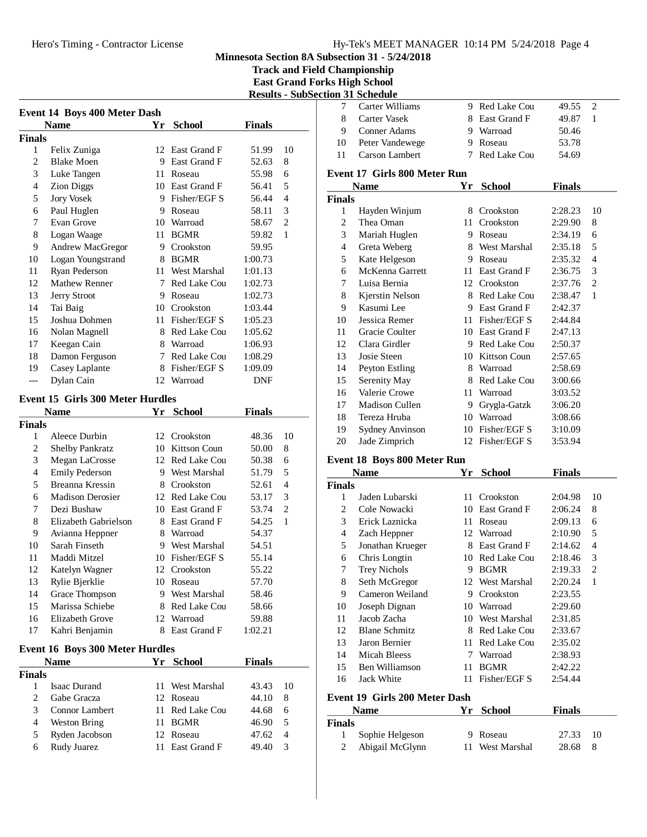#### Hero's Timing - Contractor License Hy-Tek's MEET MANAGER 10:14 PM 5/24/2018 Page 4

**Minnesota Section 8A Subsection 31 - 5/24/2018**

**Track and Field Championship East Grand Forks High School Results - SubSection 31 Schedule**

| <b>Event 14 Boys 400 Meter Dash</b> |                                         |      |                 |               |                |  |  |
|-------------------------------------|-----------------------------------------|------|-----------------|---------------|----------------|--|--|
|                                     | <b>Name</b>                             |      | Yr School       | <b>Finals</b> |                |  |  |
| Finals                              |                                         |      |                 |               |                |  |  |
| 1                                   | Felix Zuniga                            |      | 12 East Grand F | 51.99         | 10             |  |  |
| 2                                   | <b>Blake Moen</b>                       |      | 9 East Grand F  | 52.63         | 8              |  |  |
| 3                                   | Luke Tangen                             |      | 11 Roseau       | 55.98         | 6              |  |  |
| $\overline{4}$                      | <b>Zion Diggs</b>                       |      | 10 East Grand F | 56.41         | 5              |  |  |
| 5                                   | <b>Jory Vosek</b>                       |      | 9 Fisher/EGF S  | 56.44         | $\overline{4}$ |  |  |
| 6                                   | Paul Huglen                             |      | 9 Roseau        | 58.11         | 3              |  |  |
| 7                                   | Evan Grove                              |      | 10 Warroad      | 58.67         | $\mathfrak{2}$ |  |  |
| 8                                   | Logan Waage                             | 11   | <b>BGMR</b>     | 59.82         | 1              |  |  |
| 9                                   | Andrew MacGregor                        |      | 9 Crookston     | 59.95         |                |  |  |
| 10                                  | Logan Youngstrand                       |      | 8 BGMR          | 1:00.73       |                |  |  |
| 11                                  | Ryan Pederson                           | 11 - | West Marshal    | 1:01.13       |                |  |  |
| 12                                  | <b>Mathew Renner</b>                    |      | 7 Red Lake Cou  | 1:02.73       |                |  |  |
| 13                                  | Jerry Stroot                            |      | 9 Roseau        | 1:02.73       |                |  |  |
| 14                                  | Tai Baig                                |      | 10 Crookston    | 1:03.44       |                |  |  |
| 15                                  | Joshua Dohmen                           |      | 11 Fisher/EGF S | 1:05.23       |                |  |  |
| 16                                  | Nolan Magnell                           |      | 8 Red Lake Cou  | 1:05.62       |                |  |  |
| 17                                  | Keegan Cain                             |      | 8 Warroad       | 1:06.93       |                |  |  |
| 18                                  | Damon Ferguson                          |      | 7 Red Lake Cou  | 1:08.29       |                |  |  |
| 19                                  | Casey Laplante                          |      | 8 Fisher/EGF S  | 1:09.09       |                |  |  |
| $---$                               | Dylan Cain                              |      | 12 Warroad      | DNF           |                |  |  |
|                                     | <b>Event 15 Girls 300 Meter Hurdles</b> |      |                 |               |                |  |  |
|                                     | <b>Name</b>                             |      |                 | <b>Finals</b> |                |  |  |
| Finals                              |                                         |      | Yr School       |               |                |  |  |
| 1                                   | Aleece Durbin                           |      | 12 Crookston    | 48.36         | 10             |  |  |
| 2                                   | <b>Shelby Pankratz</b>                  |      | 10 Kittson Coun | 50.00         | 8              |  |  |
| 3                                   | Megan LaCrosse                          |      | 12 Red Lake Cou | 50.38         | 6              |  |  |
| 4                                   | <b>Emily Pederson</b>                   |      | 9 West Marshal  | 51.79         | 5              |  |  |
| 5                                   | Breanna Kressin                         |      | 8 Crookston     | 52.61         | 4              |  |  |
| 6                                   | <b>Madison Derosier</b>                 |      | 12 Red Lake Cou | 53.17         | 3              |  |  |
| 7                                   | Dezi Bushaw                             |      | 10 East Grand F | 53.74         | $\mathfrak{2}$ |  |  |
| 8                                   | Elizabeth Gabrielson                    |      | 8 East Grand F  | 54.25         | 1              |  |  |
| 9                                   | Avianna Heppner                         |      | 8 Warroad       | 54.37         |                |  |  |
| 10                                  | Sarah Finseth                           |      | 9 West Marshal  | 54.51         |                |  |  |
| 11                                  | Maddi Mitzel                            |      | 10 Fisher/EGF S | 55.14         |                |  |  |
| 12                                  | Katelyn Wagner                          |      | 12 Crookston    | 55.22         |                |  |  |
| 13                                  | Rylie Bjerklie                          |      | 10 Roseau       | 57.70         |                |  |  |
| 14                                  | Grace Thompson                          | 9.   | West Marshal    | 58.46         |                |  |  |
| 15                                  | Marissa Schiebe                         |      | 8 Red Lake Cou  | 58.66         |                |  |  |
| 16                                  | Elizabeth Grove                         |      | 12 Warroad      | 59.88         |                |  |  |
| 17                                  | Kahri Benjamin                          | 8    | East Grand F    | 1:02.21       |                |  |  |
|                                     |                                         |      |                 |               |                |  |  |
|                                     | <b>Event 16 Boys 300 Meter Hurdles</b>  |      |                 |               |                |  |  |
|                                     | <b>Name</b>                             | Yr   | <b>School</b>   | Finals        |                |  |  |
| Finals                              |                                         |      |                 |               |                |  |  |
| 1                                   | <b>Isaac Durand</b>                     | 11   | West Marshal    | 43.43         | 10             |  |  |
| $\overline{c}$                      | Gabe Gracza                             |      | 12 Roseau       | 44.10         | 8              |  |  |
| 3                                   | <b>Connor Lambert</b>                   | 11   | Red Lake Cou    | 44.68         | 6              |  |  |
| 4                                   | <b>Weston Bring</b>                     | 11   | <b>BGMR</b>     | 46.90         | 5              |  |  |
| 5                                   | Ryden Jacobson                          |      | 12 Roseau       | 47.62         | 4              |  |  |

6 Rudy Juarez 11 East Grand F 49.40 3

|                          | ron ər əchçumc                     |    |                 |               |                |
|--------------------------|------------------------------------|----|-----------------|---------------|----------------|
| 7                        | Carter Williams                    |    | 9 Red Lake Cou  | 49.55         | $\mathbf{2}$   |
| 8                        | Carter Vasek                       |    | 8 East Grand F  | 49.87         | 1              |
| 9                        | Conner Adams                       |    | 9 Warroad       | 50.46         |                |
| 10                       | Peter Vandewege                    |    | 9 Roseau        | 53.78         |                |
| 11                       | <b>Carson Lambert</b>              | 7  | Red Lake Cou    | 54.69         |                |
|                          |                                    |    |                 |               |                |
|                          | Event 17 Girls 800 Meter Run       |    |                 |               |                |
|                          | <b>Name</b>                        |    | Yr School       | <b>Finals</b> |                |
| Finals                   |                                    |    |                 |               |                |
| 1                        | Hayden Winjum                      |    | 8 Crookston     | 2:28.23       | 10             |
| $\overline{2}$           | Thea Oman                          |    | 11 Crookston    | 2:29.90       | 8              |
| 3                        | Mariah Huglen                      |    | 9 Roseau        | 2:34.19       | 6              |
| $\overline{4}$           | Greta Weberg                       |    | 8 West Marshal  | 2:35.18       | 5              |
| 5                        | Kate Helgeson                      |    | 9 Roseau        | 2:35.32       | $\overline{4}$ |
| 6                        | McKenna Garrett                    |    | 11 East Grand F | 2:36.75       | 3              |
| 7                        | Luisa Bernia                       |    | 12 Crookston    | 2:37.76       | $\overline{c}$ |
| 8                        | Kjerstin Nelson                    |    | 8 Red Lake Cou  | 2:38.47       | 1              |
| 9                        | Kasumi Lee                         |    | 9 East Grand F  | 2:42.37       |                |
| 10                       | Jessica Remer                      |    | 11 Fisher/EGF S | 2:44.84       |                |
| 11                       | Gracie Coulter                     |    | 10 East Grand F | 2:47.13       |                |
| 12                       | Clara Girdler                      |    | 9 Red Lake Cou  | 2:50.37       |                |
| 13                       | Josie Steen                        |    | 10 Kittson Coun | 2:57.65       |                |
| 14                       | Peyton Estling                     |    | 8 Warroad       | 2:58.69       |                |
| 15                       | Serenity May                       |    | 8 Red Lake Cou  | 3:00.66       |                |
| 16                       | Valerie Crowe                      |    | 11 Warroad      | 3:03.52       |                |
| 17                       | <b>Madison Cullen</b>              |    | 9 Grygla-Gatzk  | 3:06.20       |                |
| 18                       | Tereza Hruba                       |    | 10 Warroad      | 3:08.66       |                |
| 19                       | <b>Sydney Anvinson</b>             |    | 10 Fisher/EGF S | 3:10.09       |                |
| 20                       | Jade Zimprich                      |    | 12 Fisher/EGF S | 3:53.94       |                |
|                          | <b>Event 18 Boys 800 Meter Run</b> |    |                 |               |                |
|                          | <b>Name</b>                        | Yr | <b>School</b>   | <b>Finals</b> |                |
| Finals                   |                                    |    |                 |               |                |
| 1                        | Jaden Lubarski                     |    | 11 Crookston    | 2:04.98       | 10             |
| 2                        | Cole Nowacki                       |    | 10 East Grand F | 2:06.24       | 8              |
| 3                        | Erick Laznicka                     |    | 11 Roseau       | 2:09.13       | 6              |
| $\overline{\mathcal{L}}$ | Zach Heppner                       |    | 12 Warroad      | 2:10.90       | 5              |
| 5                        | Jonathan Krueger                   |    | 8 East Grand F  | 2:14.62       | $\overline{4}$ |
| 6                        | Chris Longtin                      |    | 10 Red Lake Cou | 2:18.46       | 3              |
| $\boldsymbol{7}$         | <b>Trey Nichols</b>                |    | 9 BGMR          | 2:19.33       | $\overline{c}$ |
| 8                        | Seth McGregor                      |    | 12 West Marshal | 2:20.24       | 1              |
| 9                        | Cameron Weiland                    |    | 9 Crookston     | 2:23.55       |                |
| 10                       | Joseph Dignan                      |    | 10 Warroad      | 2:29.60       |                |
| 11                       | Jacob Zacha                        |    | 10 West Marshal | 2:31.85       |                |
| 12                       | <b>Blane Schmitz</b>               |    | 8 Red Lake Cou  | 2:33.67       |                |
| 13                       | Jaron Bernier                      | 11 | Red Lake Cou    | 2:35.02       |                |
| 14                       | <b>Micah Bleess</b>                | 7  | Warroad         | 2:38.93       |                |
| 15                       | Ben Williamson                     | 11 | <b>BGMR</b>     | 2:42.22       |                |
| 16                       | Jack White                         | 11 | Fisher/EGF S    | 2:54.44       |                |
|                          | Event 19 Girls 200 Meter Dash      |    |                 |               |                |
|                          | <b>Name</b>                        |    |                 |               |                |
| Finals                   |                                    | Yr | <b>School</b>   | Finals        |                |
| 1                        | Sophie Helgeson                    | 9. | Roseau          | 27.33         | 10             |
| $\mathfrak{2}$           | Abigail McGlynn                    | 11 | West Marshal    | 28.68         | 8              |
|                          |                                    |    |                 |               |                |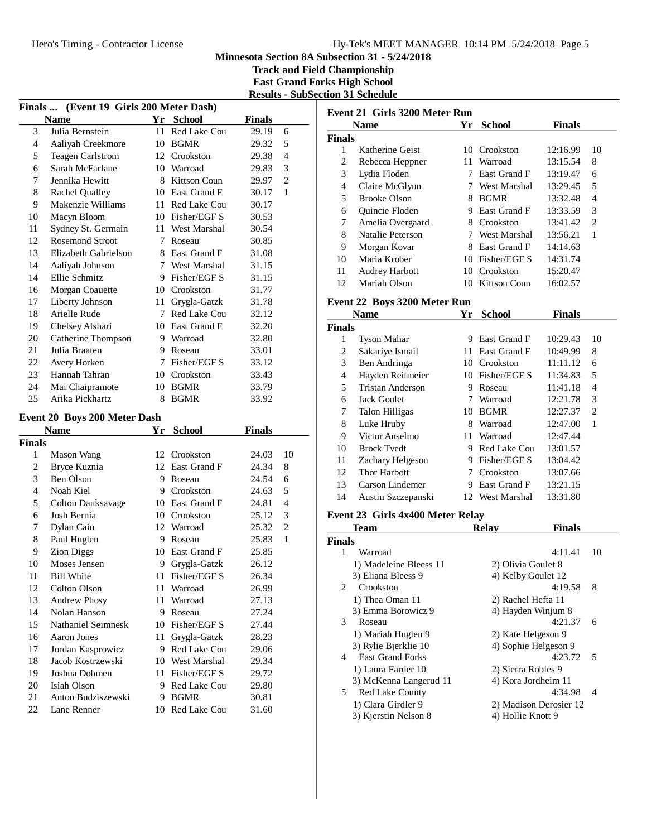**Track and Field Championship East Grand Forks High School Results - SubSection 31 Schedule**

| Finals  (Event 19 Girls 200 Meter Dash) |                                         |    |                                 |                |                |  |  |  |  |
|-----------------------------------------|-----------------------------------------|----|---------------------------------|----------------|----------------|--|--|--|--|
|                                         | <b>Name</b>                             | Yr | <b>School</b>                   | <b>Finals</b>  |                |  |  |  |  |
| 3                                       | Julia Bernstein                         | 11 | Red Lake Cou                    | 29.19          | 6              |  |  |  |  |
| $\overline{4}$                          | Aaliyah Creekmore                       | 10 | BGMR                            | 29.32          | 5              |  |  |  |  |
| 5                                       | <b>Teagen Carlstrom</b>                 |    | 12 Crookston                    | 29.38          | $\overline{4}$ |  |  |  |  |
| 6                                       | Sarah McFarlane                         |    | 10 Warroad                      | 29.83          | 3              |  |  |  |  |
| 7                                       | Jennika Hewitt                          |    | 8 Kittson Coun                  | 29.97          | $\mathfrak{2}$ |  |  |  |  |
| 8                                       | Rachel Qualley                          |    | 10 East Grand F                 | 30.17          | $\mathbf{1}$   |  |  |  |  |
| 9                                       | Makenzie Williams                       |    | 11 Red Lake Cou                 | 30.17          |                |  |  |  |  |
| 10                                      | Macyn Bloom                             |    | 10 Fisher/EGF S                 | 30.53          |                |  |  |  |  |
| 11                                      | Sydney St. Germain                      |    | 11 West Marshal                 | 30.54          |                |  |  |  |  |
| 12                                      | <b>Rosemond Stroot</b>                  |    | 7 Roseau                        | 30.85          |                |  |  |  |  |
| 13                                      | Elizabeth Gabrielson                    |    | 8 East Grand F                  | 31.08          |                |  |  |  |  |
| 14                                      | Aaliyah Johnson                         |    | 7 West Marshal                  | 31.15          |                |  |  |  |  |
| 14                                      | Ellie Schmitz                           |    | 9 Fisher/EGF S                  | 31.15          |                |  |  |  |  |
| 16                                      | Morgan Coauette                         |    | 10 Crookston                    | 31.77          |                |  |  |  |  |
| 17                                      | Liberty Johnson                         |    | 11 Grygla-Gatzk                 | 31.78          |                |  |  |  |  |
| 18                                      | Arielle Rude                            |    | 7 Red Lake Cou                  | 32.12          |                |  |  |  |  |
| 19                                      | Chelsey Afshari                         |    | 10 East Grand F                 | 32.20          |                |  |  |  |  |
| 20                                      | Catherine Thompson                      |    | 9 Warroad                       | 32.80          |                |  |  |  |  |
| 21                                      | Julia Braaten                           |    | 9 Roseau                        | 33.01          |                |  |  |  |  |
| 22                                      | Avery Horken                            |    | 7 Fisher/EGF S                  | 33.12          |                |  |  |  |  |
| 23                                      | Hannah Tahran                           |    | 10 Crookston                    | 33.43          |                |  |  |  |  |
| 24                                      | Mai Chaipramote                         |    | 10 BGMR                         | 33.79          |                |  |  |  |  |
| 25                                      | Arika Pickhartz                         | 8  | <b>BGMR</b>                     | 33.92          |                |  |  |  |  |
|                                         |                                         |    |                                 |                |                |  |  |  |  |
|                                         | Event 20 Boys 200 Meter Dash            |    |                                 |                |                |  |  |  |  |
|                                         |                                         |    |                                 |                |                |  |  |  |  |
|                                         | Name                                    | Yr | <b>School</b>                   | <b>Finals</b>  |                |  |  |  |  |
| Finals<br>1                             |                                         |    |                                 |                |                |  |  |  |  |
|                                         | Mason Wang                              |    | 12 Crookston<br>12 East Grand F | 24.03          | 10<br>8        |  |  |  |  |
| $\overline{c}$                          | Bryce Kuznia<br>Ben Olson               |    | 9 Roseau                        | 24.34<br>24.54 | 6              |  |  |  |  |
| 3<br>$\overline{\mathcal{L}}$           | Noah Kiel                               |    | 9 Crookston                     |                | 5              |  |  |  |  |
|                                         |                                         |    | 10 East Grand F                 | 24.63          | $\overline{4}$ |  |  |  |  |
| 5<br>6                                  | <b>Colton Dauksavage</b><br>Josh Bernia |    | 10 Crookston                    | 24.81<br>25.12 | 3              |  |  |  |  |
| 7                                       |                                         |    |                                 |                | $\mathfrak{2}$ |  |  |  |  |
|                                         | Dylan Cain                              |    | 12 Warroad<br>9 Roseau          | 25.32<br>25.83 | 1              |  |  |  |  |
| 8<br>9                                  | Paul Huglen                             |    | 10 East Grand F                 | 25.85          |                |  |  |  |  |
| 10                                      | <b>Zion Diggs</b><br>Moses Jensen       |    |                                 | 26.12          |                |  |  |  |  |
|                                         |                                         |    | 9 Grygla-Gatzk                  |                |                |  |  |  |  |
| 11<br>12                                | <b>Bill White</b><br>Colton Olson       |    | 11 Fisher/EGF S<br>11 Warroad   | 26.34          |                |  |  |  |  |
|                                         |                                         | 11 |                                 | 26.99<br>27.13 |                |  |  |  |  |
| 13<br>14                                | Andrew Phosy<br>Nolan Hanson            |    | Warroad<br>9 Roseau             |                |                |  |  |  |  |
| 15                                      |                                         |    | 10 Fisher/EGF S                 | 27.24          |                |  |  |  |  |
| 16                                      | Nathaniel Seimnesk                      | 11 |                                 | 27.44<br>28.23 |                |  |  |  |  |
| 17                                      | Aaron Jones                             | 9. | Grygla-Gatzk<br>Red Lake Cou    |                |                |  |  |  |  |
| 18                                      | Jordan Kasprowicz<br>Jacob Kostrzewski  |    | 10 West Marshal                 | 29.06<br>29.34 |                |  |  |  |  |
| 19                                      | Joshua Dohmen                           | 11 | Fisher/EGF S                    | 29.72          |                |  |  |  |  |
| 20                                      | Isiah Olson                             | 9  | Red Lake Cou                    | 29.80          |                |  |  |  |  |
| 21                                      | Anton Budziszewski                      | 9. | <b>BGMR</b>                     | 30.81          |                |  |  |  |  |

| Event 21 Girls 3200 Meter Run            |                                  |    |                    |               |                |  |  |
|------------------------------------------|----------------------------------|----|--------------------|---------------|----------------|--|--|
|                                          | Name                             | Yr | <b>School</b>      | <b>Finals</b> |                |  |  |
| <b>Finals</b>                            |                                  |    |                    |               |                |  |  |
| 1                                        | Katherine Geist                  |    | 10 Crookston       | 12:16.99      | 10             |  |  |
| $\overline{c}$                           | Rebecca Heppner                  |    | 11 Warroad         | 13:15.54      | 8              |  |  |
| 3                                        | Lydia Floden                     |    | 7 East Grand F     | 13:19.47      | 6              |  |  |
| 4                                        | Claire McGlynn                   |    | 7 West Marshal     | 13:29.45      | 5              |  |  |
| 5                                        | <b>Brooke Olson</b>              |    | 8 BGMR             | 13:32.48      | $\overline{4}$ |  |  |
| 6                                        | Quincie Floden                   |    | 9 East Grand F     | 13:33.59      | 3              |  |  |
| 7                                        | Amelia Overgaard                 |    | 8 Crookston        | 13:41.42      | $\overline{2}$ |  |  |
| 8                                        | Natalie Peterson                 |    | 7 West Marshal     | 13:56.21      | 1              |  |  |
| 9                                        | Morgan Kovar                     |    | 8 East Grand F     | 14:14.63      |                |  |  |
| 10                                       | Maria Krober                     |    | 10 Fisher/EGF S    | 14:31.74      |                |  |  |
| 11                                       | Audrey Harbott                   |    | 10 Crookston       | 15:20.47      |                |  |  |
| 12                                       | Mariah Olson                     |    | 10 Kittson Coun    | 16:02.57      |                |  |  |
|                                          | Event 22 Boys 3200 Meter Run     |    |                    |               |                |  |  |
|                                          | Name                             | Yr | <b>School</b>      | <b>Finals</b> |                |  |  |
| <b>Finals</b>                            |                                  |    |                    |               |                |  |  |
| 1                                        | <b>Tyson Mahar</b>               |    | 9 East Grand F     | 10:29.43      | 10             |  |  |
| 2                                        | Sakariye Ismail                  |    | 11 East Grand F    | 10:49.99      | 8              |  |  |
| 3                                        | Ben Andringa                     |    | 10 Crookston       | 11:11.12      | 6              |  |  |
| 4                                        | Hayden Reitmeier                 |    | 10 Fisher/EGF S    | 11:34.83      | 5              |  |  |
| 5                                        | <b>Tristan Anderson</b>          |    | 9 Roseau           | 11:41.18      | $\overline{4}$ |  |  |
| 6                                        | <b>Jack Goulet</b>               |    | 7 Warroad          | 12:21.78      | 3              |  |  |
| 7                                        | <b>Talon Hilligas</b>            |    | 10 BGMR            | 12:27.37      | $\overline{c}$ |  |  |
| 8                                        | Luke Hruby                       |    | 8 Warroad          | 12:47.00      | $\mathbf{1}$   |  |  |
| 9                                        | Victor Anselmo                   |    | 11 Warroad         | 12:47.44      |                |  |  |
| 10                                       | <b>Brock Tvedt</b>               |    | 9 Red Lake Cou     | 13:01.57      |                |  |  |
| 11                                       | Zachary Helgeson                 |    | 9 Fisher/EGF S     | 13:04.42      |                |  |  |
| 12                                       | <b>Thor Harbott</b>              |    | 7 Crookston        | 13:07.66      |                |  |  |
| 13                                       | Carson Lindemer                  |    | 9 East Grand F     | 13:21.15      |                |  |  |
| 14                                       | Austin Szczepanski               |    | 12 West Marshal    | 13:31.80      |                |  |  |
|                                          | Event 23 Girls 4x400 Meter Relay |    |                    |               |                |  |  |
|                                          | Team                             |    | <b>Relay</b>       | <b>Finals</b> |                |  |  |
| <b>Finals</b>                            |                                  |    |                    |               |                |  |  |
| 1                                        | Warroad                          |    |                    | 4:11.41       | 10             |  |  |
|                                          | 1) Madeleine Bleess 11           |    | 2) Olivia Goulet 8 |               |                |  |  |
| 3) Eliana Bleess 9<br>4) Kelby Goulet 12 |                                  |    |                    |               |                |  |  |

|             | 1) Madeleine Bleess 11  | 2) Olivia Goulet 8     |     |
|-------------|-------------------------|------------------------|-----|
|             | 3) Eliana Bleess 9      | 4) Kelby Goulet 12     |     |
| $2^{\circ}$ | Crookston               | 4:19.58                | 8   |
|             | 1) Thea Oman 11         | 2) Rachel Hefta 11     |     |
|             | 3) Emma Borowicz 9      | 4) Hayden Winjum 8     |     |
| 3           | Roseau                  | 4:21.37                | 6   |
|             | 1) Mariah Huglen 9      | 2) Kate Helgeson 9     |     |
|             | 3) Rylie Bjerklie 10    | 4) Sophie Helgeson 9   |     |
| 4           | <b>East Grand Forks</b> | 4:23.72                | - 5 |
|             | 1) Laura Farder 10      | 2) Sierra Robles 9     |     |
|             | 3) McKenna Langerud 11  | 4) Kora Jordheim 11    |     |
| 5.          | <b>Red Lake County</b>  | 4:34.98                | 4   |
|             | 1) Clara Girdler 9      | 2) Madison Derosier 12 |     |
|             | 3) Kjerstin Nelson 8    | 4) Hollie Knott 9      |     |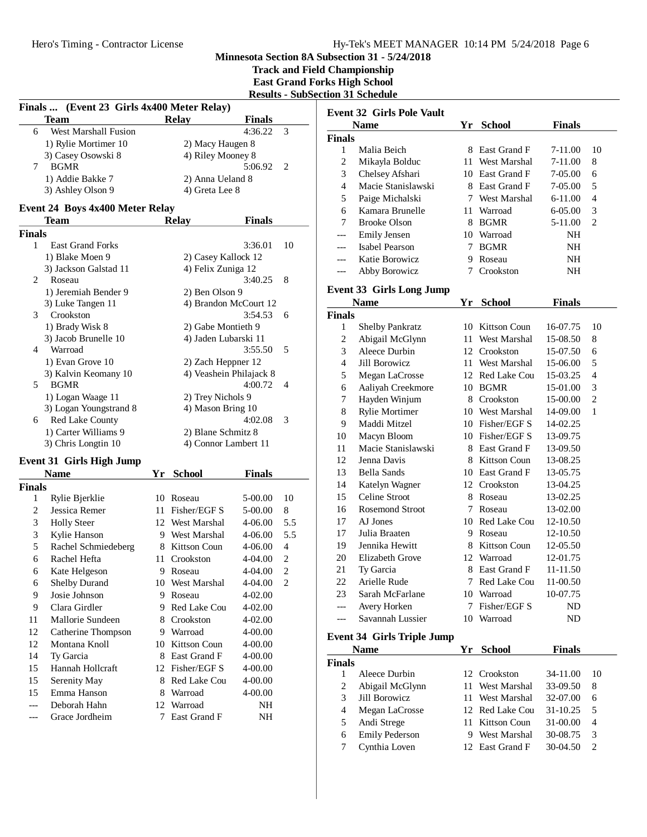**Track and Field Championship**

**East Grand Forks High School**

**Results - SubSection 31 Schedule**

| Finals  (Event 23 Girls 4x400 Meter Relay) |                                             |     |                                            |               |                |  |
|--------------------------------------------|---------------------------------------------|-----|--------------------------------------------|---------------|----------------|--|
|                                            | Team                                        |     | <b>Relay</b>                               | <b>Finals</b> |                |  |
| 6                                          | West Marshall Fusion                        |     |                                            | 4:36.22       | 3              |  |
|                                            | 1) Rylie Mortimer 10                        |     | 2) Macy Haugen 8                           |               |                |  |
|                                            | 3) Casey Osowski 8                          |     | 4) Riley Mooney 8                          |               |                |  |
| 7                                          | <b>BGMR</b>                                 |     |                                            | 5:06.92       | 2              |  |
|                                            | 1) Addie Bakke 7                            |     | 2) Anna Ueland 8                           |               |                |  |
|                                            | 3) Ashley Olson 9                           |     | 4) Greta Lee 8                             |               |                |  |
|                                            | <b>Event 24 Boys 4x400 Meter Relay</b>      |     |                                            |               |                |  |
|                                            | Team                                        |     | <b>Relay</b>                               | <b>Finals</b> |                |  |
| <b>Finals</b>                              |                                             |     |                                            |               |                |  |
| 1                                          | <b>East Grand Forks</b>                     |     |                                            | 3:36.01       | 10             |  |
|                                            | 1) Blake Moen 9                             |     | 2) Casey Kallock 12                        |               |                |  |
|                                            | 3) Jackson Galstad 11                       |     | 4) Felix Zuniga 12                         |               |                |  |
| 2                                          | Roseau                                      |     |                                            | 3:40.25       | 8              |  |
|                                            | 1) Jeremiah Bender 9                        |     | 2) Ben Olson 9                             |               |                |  |
|                                            | 3) Luke Tangen 11                           |     | 4) Brandon McCourt 12                      |               |                |  |
| 3                                          | Crookston                                   |     |                                            | 3:54.53       | 6              |  |
|                                            | 1) Brady Wisk 8                             |     | 2) Gabe Montieth 9                         |               |                |  |
|                                            | 3) Jacob Brunelle 10                        |     | 4) Jaden Lubarski 11                       |               |                |  |
| 4                                          | Warroad                                     |     |                                            | 3:55.50       | 5              |  |
|                                            | 1) Evan Grove 10                            |     | 2) Zach Heppner 12                         |               |                |  |
|                                            | 3) Kalvin Keomany 10                        |     | 4) Veashein Philajack 8                    |               |                |  |
| 5                                          | <b>BGMR</b>                                 |     |                                            | 4:00.72       | 4              |  |
|                                            | 1) Logan Waage 11                           |     | 2) Trey Nichols 9                          |               |                |  |
|                                            | 3) Logan Youngstrand 8                      |     | 4) Mason Bring 10                          |               |                |  |
| 6                                          | Red Lake County                             |     |                                            | 4:02.08       | 3              |  |
|                                            | 1) Carter Williams 9<br>3) Chris Longtin 10 |     | 2) Blane Schmitz 8<br>4) Connor Lambert 11 |               |                |  |
|                                            |                                             |     |                                            |               |                |  |
|                                            | <b>Event 31 Girls High Jump</b>             |     |                                            |               |                |  |
|                                            | <b>Name</b>                                 | Yr  | <b>School</b>                              | <b>Finals</b> |                |  |
| <b>Finals</b>                              |                                             |     |                                            |               |                |  |
| 1                                          | Rylie Bjerklie                              |     | 10 Roseau                                  | 5-00.00       | 10             |  |
| 2                                          | Jessica Remer                               |     | 11 Fisher/EGF S                            | 5-00.00       | 8              |  |
| 3                                          | <b>Holly Steer</b>                          |     | 12 West Marshal                            | 4-06.00       | 5.5            |  |
| 3                                          | Kylie Hanson                                |     | 9 West Marshal                             | 4-06.00       | 5.5            |  |
| 5                                          | Rachel Schmiedeberg                         |     | 8 Kittson Coun                             | 4-06.00       | 4              |  |
| 6                                          | Rachel Hefta                                | 11- | Crookston                                  | 4-04.00       | $\overline{c}$ |  |
| 6                                          | Kate Helgeson                               |     | 9 Roseau                                   | 4-04.00       | $\mathfrak{D}$ |  |
| 6                                          | <b>Shelby Durand</b>                        |     | 10 West Marshal                            | 4-04.00       | 2              |  |
| 9                                          | Josie Johnson                               |     | 9 Roseau                                   | 4-02.00       |                |  |
| 9                                          | Clara Girdler                               |     | 9 Red Lake Cou                             | 4-02.00       |                |  |
| 11                                         | Mallorie Sundeen                            | 8   | Crookston                                  | 4-02.00       |                |  |
| 12                                         | Catherine Thompson                          |     | 9 Warroad                                  | 4-00.00       |                |  |
| 12                                         | Montana Knoll                               |     | 10 Kittson Coun                            | 4-00.00       |                |  |
| 14                                         | Ty Garcia                                   |     | 8 East Grand F                             | 4-00.00       |                |  |
| 15                                         | Hannah Hollcraft                            |     | 12 Fisher/EGF S                            | 4-00.00       |                |  |
| 15                                         | Serenity May                                |     | 8 Red Lake Cou                             | 4-00.00       |                |  |
| 15                                         | Emma Hanson                                 | 8   | Warroad                                    | 4-00.00       |                |  |
|                                            | Deborah Hahn                                |     | 12 Warroad                                 | NH            |                |  |
|                                            | Grace Jordheim                              | 7   | East Grand F                               | NH            |                |  |

| <b>Event 32 Girls Pole Vault</b> |                                        |    |                     |                      |                     |  |  |
|----------------------------------|----------------------------------------|----|---------------------|----------------------|---------------------|--|--|
|                                  | <b>Name</b>                            |    | Yr School           | <b>Finals</b>        |                     |  |  |
| Finals                           |                                        |    |                     |                      |                     |  |  |
| 1                                | Malia Beich                            |    | 8 East Grand F      | 7-11.00              | 10                  |  |  |
| $\overline{c}$                   | Mikayla Bolduc                         |    | 11 West Marshal     | $7 - 11.00$          | 8                   |  |  |
| 3                                | Chelsey Afshari                        |    | 10 East Grand F     | 7-05.00              | 6                   |  |  |
| $\overline{4}$                   | Macie Stanislawski                     |    | 8 East Grand F      | 7-05.00              | 5                   |  |  |
| 5                                | Paige Michalski                        |    | 7 West Marshal      | 6-11.00              | 4                   |  |  |
| 6                                | Kamara Brunelle                        |    | 11 Warroad          | 6-05.00              | 3                   |  |  |
| 7                                | <b>Brooke Olson</b>                    |    | 8 BGMR              | 5-11.00              | $\overline{c}$      |  |  |
| ---                              | <b>Emily Jensen</b>                    |    | 10 Warroad          | NH                   |                     |  |  |
| ---                              | Isabel Pearson                         |    | 7 BGMR              | NH                   |                     |  |  |
| ---                              | Katie Borowicz                         |    | 9 Roseau            | NH                   |                     |  |  |
|                                  | Abby Borowicz                          | 7  | Crookston           | NH                   |                     |  |  |
|                                  |                                        |    |                     |                      |                     |  |  |
|                                  | <b>Event 33 Girls Long Jump</b>        |    |                     |                      |                     |  |  |
| <b>Finals</b>                    | <b>Name</b>                            | Yr | <b>School</b>       | <b>Finals</b>        |                     |  |  |
| 1                                | Shelby Pankratz                        |    | 10 Kittson Coun     | 16-07.75             | 10                  |  |  |
| $\overline{c}$                   | Abigail McGlynn                        |    | 11 West Marshal     | 15-08.50             | 8                   |  |  |
| 3                                | Aleece Durbin                          |    | 12 Crookston        | 15-07.50             | 6                   |  |  |
| 4                                | Jill Borowicz                          |    | 11 West Marshal     | 15-06.00             | 5                   |  |  |
|                                  |                                        |    | 12 Red Lake Cou     | 15-03.25             | 4                   |  |  |
| 5                                | Megan LaCrosse<br>Aaliyah Creekmore    |    | 10 BGMR             |                      |                     |  |  |
| 6<br>7                           |                                        |    | 8 Crookston         | 15-01.00<br>15-00.00 | 3<br>$\overline{c}$ |  |  |
|                                  | Hayden Winjum<br><b>Rylie Mortimer</b> |    | 10 West Marshal     |                      | 1                   |  |  |
| 8                                |                                        |    |                     | 14-09.00             |                     |  |  |
| 9                                | Maddi Mitzel                           |    | 10 Fisher/EGF S     | 14-02.25             |                     |  |  |
| 10                               | Macyn Bloom<br>Macie Stanislawski      |    | 10 Fisher/EGF S     | 13-09.75             |                     |  |  |
| 11                               |                                        |    | 8 East Grand F      | 13-09.50             |                     |  |  |
| 12                               | Jenna Davis                            |    | 8 Kittson Coun      | 13-08.25             |                     |  |  |
| 13                               | <b>Bella Sands</b>                     |    | 10 East Grand F     | 13-05.75             |                     |  |  |
| 14                               | Katelyn Wagner                         |    | 12 Crookston        | 13-04.25             |                     |  |  |
| 15                               | Celine Stroot                          |    | 8 Roseau            | 13-02.25             |                     |  |  |
| 16                               | Rosemond Stroot                        | 7  | Roseau              | 13-02.00             |                     |  |  |
| 17                               | AJ Jones                               |    | 10 Red Lake Cou     | 12-10.50             |                     |  |  |
| 17                               | Julia Braaten                          |    | 9 Roseau            | 12-10.50             |                     |  |  |
| 19                               | Jennika Hewitt                         |    | 8 Kittson Coun      | 12-05.50             |                     |  |  |
| 20                               | Elizabeth Grove                        | 12 | Warroad             | 12-01.75             |                     |  |  |
| 21                               | Ty Garcia                              |    | 8 East Grand F      | 11-11.50             |                     |  |  |
| 22                               | Arielle Rude                           |    | 7 Red Lake Cou      | 11-00.50             |                     |  |  |
| 23                               | Sarah McFarlane                        |    | 10 Warroad          | 10-07.75             |                     |  |  |
| ---                              | Avery Horken                           | 7  | Fisher/EGF S        | ND                   |                     |  |  |
| ---                              | Savannah Lussier                       |    | 10 Warroad          | ND                   |                     |  |  |
|                                  | Event 34 Girls Triple Jump             |    |                     |                      |                     |  |  |
|                                  | <b>Name</b>                            | Yr | <b>School</b>       | <b>Finals</b>        |                     |  |  |
| Finals                           |                                        |    |                     |                      |                     |  |  |
| 1                                | Aleece Durbin                          | 12 | Crookston           | 34-11.00             | 10                  |  |  |
| $\overline{c}$                   | Abigail McGlynn                        | 11 | West Marshal        | 33-09.50             | 8                   |  |  |
| 3                                | Jill Borowicz                          |    | 11 West Marshal     | 32-07.00             | 6                   |  |  |
| $\overline{\mathcal{L}}$         | Megan LaCrosse                         |    | 12 Red Lake Cou     | 31-10.25             | 5                   |  |  |
| 5                                | Andi Strege                            | 11 | <b>Kittson Coun</b> | 31-00.00             | 4                   |  |  |
| 6                                | <b>Emily Pederson</b>                  |    | 9 West Marshal      | 30-08.75             | 3                   |  |  |
| 7                                | Cynthia Loven                          |    | 12 East Grand F     | 30-04.50             | $\overline{c}$      |  |  |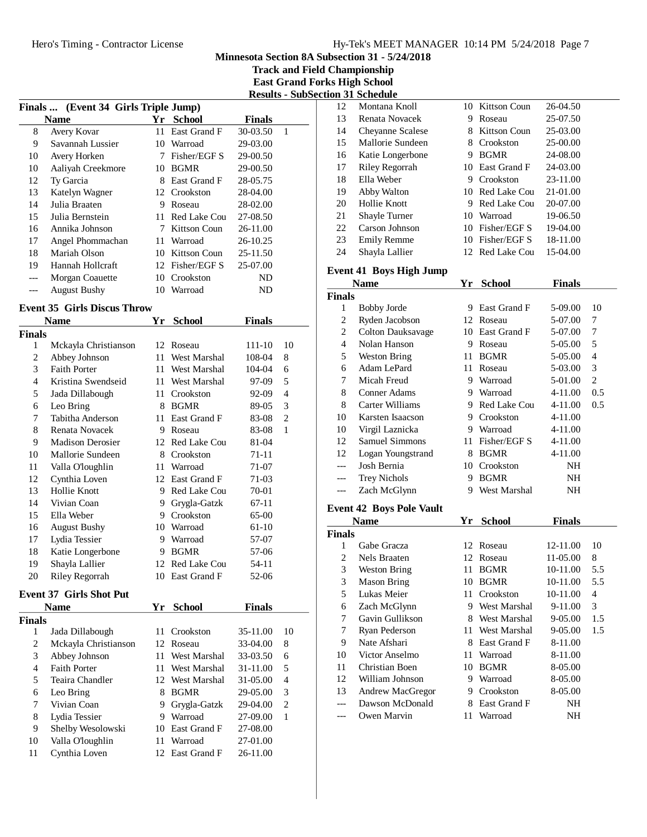**Track and Field Championship East Grand Forks High School**

|                                      |                     |    |                 | -------       | ້ |  |  |  |
|--------------------------------------|---------------------|----|-----------------|---------------|---|--|--|--|
| Finals  (Event 34 Girls Triple Jump) |                     |    |                 |               |   |  |  |  |
|                                      | <b>Name</b>         | Yr | <b>School</b>   | <b>Finals</b> |   |  |  |  |
| 8                                    | Avery Kovar         | 11 | East Grand F    | 30-03.50      | 1 |  |  |  |
| 9                                    | Savannah Lussier    | 10 | Warroad         | 29-03.00      |   |  |  |  |
| 10                                   | Avery Horken        | 7  | Fisher/EGF S    | 29-00.50      |   |  |  |  |
| 10                                   | Aaliyah Creekmore   | 10 | <b>BGMR</b>     | 29-00.50      |   |  |  |  |
| 12                                   | Ty Garcia           | 8  | East Grand F    | 28-05.75      |   |  |  |  |
| 13                                   | Katelyn Wagner      | 12 | Crookston       | 28-04.00      |   |  |  |  |
| 14                                   | Julia Braaten       | 9  | Roseau          | 28-02.00      |   |  |  |  |
| 15                                   | Julia Bernstein     | 11 | Red Lake Cou    | 27-08.50      |   |  |  |  |
| 16                                   | Annika Johnson      | 7  | Kittson Coun    | 26-11.00      |   |  |  |  |
| 17                                   | Angel Phommachan    | 11 | Warroad         | 26-10.25      |   |  |  |  |
| 18                                   | Mariah Olson        |    | 10 Kittson Coun | 25-11.50      |   |  |  |  |
| 19                                   | Hannah Hollcraft    |    | 12 Fisher/EGF S | 25-07.00      |   |  |  |  |
|                                      | Morgan Coauette     | 10 | Crookston       | ND            |   |  |  |  |
|                                      | <b>August Bushy</b> |    | 10 Warroad      | ND            |   |  |  |  |

#### **Event 35 Girls Discus Throw**

|               | Name                    | <b>School</b><br>Finals<br>Yr |              |         |                |
|---------------|-------------------------|-------------------------------|--------------|---------|----------------|
| <b>Finals</b> |                         |                               |              |         |                |
| 1             | Mckayla Christianson    | 12                            | Roseau       | 111-10  | 10             |
| 2             | Abbey Johnson           | 11                            | West Marshal | 108-04  | 8              |
| 3             | <b>Faith Porter</b>     | 11                            | West Marshal | 104-04  | 6              |
| 4             | Kristina Swendseid      | 11                            | West Marshal | 97-09   | 5              |
| 5             | Jada Dillabough         | 11                            | Crookston    | 92-09   | 4              |
| 6             | Leo Bring               | 8                             | <b>BGMR</b>  | 89-05   | 3              |
| 7             | Tabitha Anderson        | 11                            | East Grand F | 83-08   | $\mathfrak{2}$ |
| 8             | Renata Novacek          | 9                             | Roseau       | 83-08   | 1              |
| 9             | <b>Madison Derosier</b> | 12                            | Red Lake Cou | 81-04   |                |
| 10            | Mallorie Sundeen        | 8                             | Crookston    | 71-11   |                |
| 11            | Valla O'loughlin        | 11                            | Warroad      | 71-07   |                |
| 12            | Cynthia Loven           | 12                            | East Grand F | 71-03   |                |
| 13            | Hollie Knott            | 9                             | Red Lake Cou | 70-01   |                |
| 14            | Vivian Coan             | 9                             | Grygla-Gatzk | 67-11   |                |
| 15            | Ella Weber              | 9                             | Crookston    | 65-00   |                |
| 16            | <b>August Bushy</b>     | 10                            | Warroad      | $61-10$ |                |
| 17            | Lydia Tessier           | 9                             | Warroad      | 57-07   |                |
| 18            | Katie Longerbone        | 9                             | <b>BGMR</b>  | 57-06   |                |
| 19            | Shayla Lallier          | 12                            | Red Lake Cou | 54-11   |                |
| 20            | Riley Regorrah          | 10                            | East Grand F | 52-06   |                |

## **Event 37 Girls Shot Put**

| <b>Name</b>   |                      | Yr  | <b>School</b>       | <b>Finals</b> |                |
|---------------|----------------------|-----|---------------------|---------------|----------------|
| <b>Finals</b> |                      |     |                     |               |                |
| 1             | Jada Dillabough      |     | 11 Crookston        | 35-11.00      | 10             |
| 2             | Mckayla Christianson |     | 12 Roseau           | 33-04.00      | 8              |
| 3             | Abbey Johnson        |     | 11 West Marshal     | 33-03.50      | 6              |
| 4             | <b>Faith Porter</b>  |     | 11 West Marshal     | 31-11.00      | 5              |
| 5             | Teaira Chandler      |     | 12 West Marshal     | 31-05.00      | $\overline{4}$ |
| 6             | Leo Bring            | 8   | <b>BGMR</b>         | 29-05.00      | 3              |
| 7             | Vivian Coan          | 9   | Grygla-Gatzk        | 29-04.00      | $\overline{c}$ |
| 8             | Lydia Tessier        | 9   | Warroad             | 27-09.00      | 1              |
| 9             | Shelby Wesolowski    | 10  | East Grand F        | 27-08.00      |                |
| 10            | Valla O'loughlin     | 11  | Warroad             | 27-01.00      |                |
| 11            | Cynthia Loven        | 12. | <b>East Grand F</b> | 26-11.00      |                |

| <b>Results - SubSection 31 Schedule</b> |    |                       |    |                 |          |  |  |  |
|-----------------------------------------|----|-----------------------|----|-----------------|----------|--|--|--|
|                                         | 12 | Montana Knoll         |    | 10 Kittson Coun | 26-04.50 |  |  |  |
| Finals                                  | 13 | Renata Novacek        | 9  | Roseau          | 25-07.50 |  |  |  |
| $-03.50$<br>1                           | 14 | Cheyanne Scalese      |    | 8 Kittson Coun  | 25-03.00 |  |  |  |
| $-03.00$                                | 15 | Mallorie Sundeen      | 8  | Crookston       | 25-00.00 |  |  |  |
| $-00.50$                                | 16 | Katie Longerbone      | 9  | <b>BGMR</b>     | 24-08.00 |  |  |  |
| $-00.50$                                | 17 | <b>Riley Regorrah</b> |    | 10 East Grand F | 24-03.00 |  |  |  |
| $-05.75$                                | 18 | Ella Weber            | 9  | Crookston       | 23-11.00 |  |  |  |
| $-04.00$                                | 19 | Abby Walton           |    | 10 Red Lake Cou | 21-01.00 |  |  |  |
| $-02.00$                                | 20 | Hollie Knott          |    | 9 Red Lake Cou  | 20-07.00 |  |  |  |
| $-08.50$                                | 21 | Shayle Turner         | 10 | Warroad         | 19-06.50 |  |  |  |
| $-11.00$                                | 22 | Carson Johnson        | 10 | Fisher/EGF S    | 19-04.00 |  |  |  |
| $-10.25$                                | 23 | <b>Emily Remme</b>    |    | 10 Fisher/EGF S | 18-11.00 |  |  |  |
| $-11.50$                                | 24 | Shayla Lallier        |    | 12 Red Lake Cou | 15-04.00 |  |  |  |
|                                         |    |                       |    |                 |          |  |  |  |

#### **Event 41 Boys High Jump**

| <b>School</b><br>Name<br>Үr |                          |    | Finals       |         |     |
|-----------------------------|--------------------------|----|--------------|---------|-----|
| <b>Finals</b>               |                          |    |              |         |     |
| 1                           | <b>Bobby Jorde</b>       | 9  | East Grand F | 5-09.00 | 10  |
| 2                           | Ryden Jacobson           | 12 | Roseau       | 5-07.00 | 7   |
| 2                           | <b>Colton Dauksavage</b> | 10 | East Grand F | 5-07.00 | 7   |
| 4                           | Nolan Hanson             | 9  | Roseau       | 5-05.00 | 5   |
| 5                           | Weston Bring             | 11 | <b>BGMR</b>  | 5-05.00 | 4   |
| 6                           | Adam LePard              | 11 | Roseau       | 5-03.00 | 3   |
| 7                           | Micah Freud              | 9  | Warroad      | 5-01.00 | 2   |
| 8                           | Conner Adams             | 9  | Warroad      | 4-11.00 | 0.5 |
| 8                           | Carter Williams          | 9  | Red Lake Cou | 4-11.00 | 0.5 |
| 10                          | Karsten Isaacson         | 9  | Crookston    | 4-11.00 |     |
| 10                          | Virgil Laznicka          | 9  | Warroad      | 4-11.00 |     |
| 12                          | <b>Samuel Simmons</b>    | 11 | Fisher/EGF S | 4-11.00 |     |
| 12                          | Logan Youngstrand        | 8  | <b>BGMR</b>  | 4-11.00 |     |
| ---                         | Josh Bernia              | 10 | Crookston    | NH      |     |
|                             | <b>Trey Nichols</b>      | 9  | <b>BGMR</b>  | NH      |     |
|                             | Zach McGlynn             | 9  | West Marshal | NΗ      |     |
|                             |                          |    |              |         |     |

#### **Event 42 Boys Pole Vault**

|        | Name               | Yr  | <b>School</b> | <b>Finals</b> |     |
|--------|--------------------|-----|---------------|---------------|-----|
| Finals |                    |     |               |               |     |
| 1      | Gabe Gracza        | 12. | Roseau        | 12-11.00      | 10  |
| 2      | Nels Braaten       | 12  | Roseau        | 11-05.00      | 8   |
| 3      | Weston Bring       | 11  | <b>BGMR</b>   | 10-11.00      | 5.5 |
| 3      | <b>Mason Bring</b> | 10  | <b>BGMR</b>   | 10-11.00      | 5.5 |
| 5      | Lukas Meier        | 11  | Crookston     | 10-11.00      | 4   |
| 6      | Zach McGlynn       | 9   | West Marshal  | 9-11.00       | 3   |
| 7      | Gavin Gullikson    | 8   | West Marshal  | $9 - 05.00$   | 1.5 |
| 7      | Ryan Pederson      | 11  | West Marshal  | $9 - 05.00$   | 1.5 |
| 9      | Nate Afshari       | 8   | East Grand F  | 8-11.00       |     |
| 10     | Victor Anselmo     | 11  | Warroad       | 8-11.00       |     |
| 11     | Christian Boen     | 10  | <b>BGMR</b>   | 8-05.00       |     |
| 12     | William Johnson    | 9   | Warroad       | 8-05.00       |     |
| 13     | Andrew MacGregor   | 9   | Crookston     | 8-05.00       |     |
|        | Dawson McDonald    | 8   | East Grand F  | NH            |     |
|        | Owen Marvin        | 11  | Warroad       | NH            |     |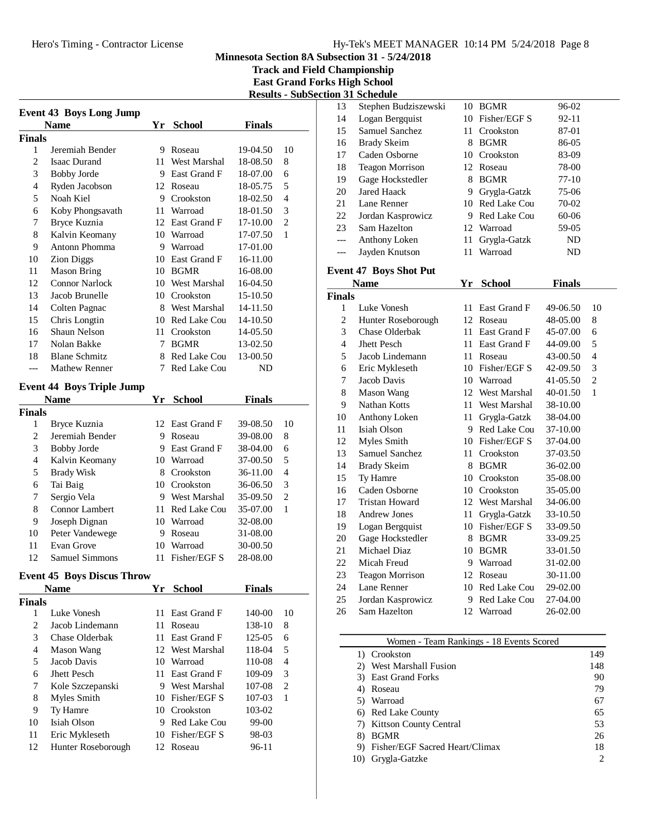**Track and Field Championship East Grand Forks High School**

| <b>Event 43 Boys Long Jump</b> |                                   |      |                 |               |                |  |
|--------------------------------|-----------------------------------|------|-----------------|---------------|----------------|--|
| <b>Name</b>                    |                                   |      | Yr School       | <b>Finals</b> |                |  |
| Finals                         |                                   |      |                 |               |                |  |
| 1                              | Jeremiah Bender                   |      | 9 Roseau        | 19-04.50      | 10             |  |
| $\overline{2}$                 | Isaac Durand                      |      | 11 West Marshal | 18-08.50      | 8              |  |
| 3                              | <b>Bobby Jorde</b>                |      | 9 East Grand F  | 18-07.00      | 6              |  |
| 4                              | Ryden Jacobson                    |      | 12 Roseau       | 18-05.75      | 5              |  |
| 5                              | Noah Kiel                         |      | 9 Crookston     | 18-02.50      | 4              |  |
| 6                              | Koby Phongsavath                  | 11   | Warroad         | 18-01.50      | 3              |  |
| 7                              | Bryce Kuznia                      |      | 12 East Grand F | 17-10.00      | $\overline{c}$ |  |
| 8                              | Kalvin Keomany                    |      | 10 Warroad      | 17-07.50      | 1              |  |
| 9                              | Antonn Phomma                     |      | 9 Warroad       | 17-01.00      |                |  |
| 10                             | <b>Zion Diggs</b>                 |      | 10 East Grand F | 16-11.00      |                |  |
| 11                             | <b>Mason Bring</b>                |      | 10 BGMR         | 16-08.00      |                |  |
| 12                             | <b>Connor Narlock</b>             |      | 10 West Marshal | 16-04.50      |                |  |
| 13                             | Jacob Brunelle                    |      | 10 Crookston    | 15-10.50      |                |  |
| 14                             | Colten Pagnac                     |      | 8 West Marshal  | 14-11.50      |                |  |
| 15                             | Chris Longtin                     |      | 10 Red Lake Cou | 14-10.50      |                |  |
| 16                             | Shaun Nelson                      |      | 11 Crookston    | 14-05.50      |                |  |
| 17                             | Nolan Bakke                       |      | 7 BGMR          | 13-02.50      |                |  |
| 18                             | <b>Blane Schmitz</b>              |      | 8 Red Lake Cou  | 13-00.50      |                |  |
| ---                            | <b>Mathew Renner</b>              | 7    | Red Lake Cou    | ND            |                |  |
|                                |                                   |      |                 |               |                |  |
|                                | <b>Event 44 Boys Triple Jump</b>  |      |                 |               |                |  |
|                                | <b>Name</b>                       | Yr   | <b>School</b>   | <b>Finals</b> |                |  |
| Finals                         |                                   |      |                 |               |                |  |
| 1                              | Bryce Kuznia                      |      | 12 East Grand F | 39-08.50      | 10             |  |
| $\overline{c}$                 | Jeremiah Bender                   |      | 9 Roseau        | 39-08.00      | 8              |  |
| 3                              | <b>Bobby Jorde</b>                |      | 9 East Grand F  | 38-04.00      | 6              |  |
| $\overline{4}$                 | Kalvin Keomany                    |      | 10 Warroad      | 37-00.50      | 5              |  |
| 5                              | <b>Brady Wisk</b>                 |      | 8 Crookston     | 36-11.00      | 4              |  |
| 6                              | Tai Baig                          |      | 10 Crookston    | 36-06.50      | 3              |  |
| 7                              | Sergio Vela                       |      | 9 West Marshal  | 35-09.50      | 2              |  |
| 8                              | Connor Lambert                    |      | 11 Red Lake Cou | 35-07.00      | 1              |  |
| 9                              | Joseph Dignan                     |      | 10 Warroad      | 32-08.00      |                |  |
| 10                             | Peter Vandewege                   |      | 9 Roseau        | 31-08.00      |                |  |
| 11                             | Evan Grove                        |      | 10 Warroad      | 30-00.50      |                |  |
| 12                             | Samuel Simmons                    | 11   | Fisher/EGF S    | 28-08.00      |                |  |
|                                |                                   |      |                 |               |                |  |
|                                | <b>Event 45 Boys Discus Throw</b> |      |                 |               |                |  |
|                                | <b>Name</b>                       | Yr   | <b>School</b>   | <b>Finals</b> |                |  |
| Finals<br>1                    | Luke Vonesh                       | 11   | East Grand F    | 140-00        | 10             |  |
| $\sqrt{2}$                     | Jacob Lindemann                   | 11   |                 |               | 8              |  |
|                                | <b>Chase Olderbak</b>             |      | Roseau          | 138-10        |                |  |
| 3                              |                                   | 11 - | East Grand F    | 125-05        | 6              |  |
| $\overline{4}$                 | <b>Mason Wang</b>                 |      | 12 West Marshal | 118-04        | 5              |  |
| 5                              | Jacob Davis                       |      | 10 Warroad      | 110-08        | $\overline{4}$ |  |
| 6                              | Jhett Pesch                       | 11   | East Grand F    | 109-09        | 3              |  |
| 7                              | Kole Szczepanski                  |      | 9 West Marshal  | 107-08        | $\mathfrak{2}$ |  |
| 8                              | Myles Smith                       |      | 10 Fisher/EGF S | 107-03        | 1              |  |
| 9                              | Ty Hamre                          |      | 10 Crookston    | 103-02        |                |  |
| 10                             | Isiah Olson                       |      | 9 Red Lake Cou  | 99-00         |                |  |
| 11                             | Eric Mykleseth                    |      | 10 Fisher/EGF S | 98-03         |                |  |
| 12                             | Hunter Roseborough                |      | 12 Roseau       | 96-11         |                |  |

|                        |                |                     | <b>Results - SubSection 31 Schedule</b> |    |                                    |                      |                |  |
|------------------------|----------------|---------------------|-----------------------------------------|----|------------------------------------|----------------------|----------------|--|
|                        |                | 13                  | Stephen Budziszewski                    |    | 10 BGMR                            | 96-02                |                |  |
|                        |                | 14                  | Logan Bergquist                         |    | 10 Fisher/EGF S                    | 92-11                |                |  |
| Finals                 |                | 15                  | Samuel Sanchez                          |    | 11 Crookston                       | 87-01                |                |  |
|                        |                | 16                  | <b>Brady Skeim</b>                      |    | 8 BGMR                             | 86-05                |                |  |
| <sup>0</sup> -04.50    | 10             | 17                  | Caden Osborne                           |    | 10 Crookston                       | 83-09                |                |  |
| $3-08.50$              | 8              | 18                  | <b>Teagon Morrison</b>                  |    | 12 Roseau                          | 78-00                |                |  |
| 3-07.00                | 6              | 19                  | Gage Hockstedler                        |    | 8 BGMR                             | 77-10                |                |  |
| 3-05.75                | 5              | 20                  | <b>Jared Haack</b>                      |    | 9 Grygla-Gatzk                     | 75-06                |                |  |
| 3-02.50                | $\overline{4}$ | 21                  | Lane Renner                             |    | 10 Red Lake Cou                    | 70-02                |                |  |
| 3-01.50                | 3              | 22                  | Jordan Kasprowicz                       |    | 9 Red Lake Cou                     | 60-06                |                |  |
| 7-10.00                | $\overline{c}$ | 23                  | Sam Hazelton                            |    | 12 Warroad                         | 59-05                |                |  |
| $7-07.50$              | $\mathbf{1}$   | ---                 | Anthony Loken                           | 11 | Grygla-Gatzk                       | ND                   |                |  |
| 7-01.00                |                | ---                 | Jayden Knutson                          |    | 11 Warroad                         | ND                   |                |  |
| 5-11.00                |                |                     |                                         |    |                                    |                      |                |  |
| 5-08.00                |                |                     | <b>Event 47 Boys Shot Put</b>           |    |                                    |                      |                |  |
| 5-04.50                |                |                     | <b>Name</b>                             |    | Yr School                          | Finals               |                |  |
| 5-10.50                |                | <b>Finals</b>       |                                         |    | 11 East Grand F                    |                      |                |  |
| 4-11.50<br>$-10.50$    |                | 1<br>$\overline{c}$ | Luke Vonesh                             |    | 12 Roseau                          | 49-06.50             | 10<br>$\,8\,$  |  |
|                        |                | 3                   | Hunter Roseborough<br>Chase Olderbak    |    | 11 East Grand F                    | 48-05.00<br>45-07.00 | 6              |  |
| l-05.50<br>$3-02.50$   |                | $\overline{4}$      | Jhett Pesch                             |    | 11 East Grand F                    |                      | 5              |  |
|                        |                | 5                   |                                         |    |                                    | 44-09.00             | $\overline{4}$ |  |
| $3-00.50$<br><b>ND</b> |                | 6                   | Jacob Lindemann                         |    | 11 Roseau<br>10 Fisher/EGF S       | 43-00.50             | 3              |  |
|                        |                | 7                   | Eric Mykleseth<br>Jacob Davis           |    | 10 Warroad                         | 42-09.50             | $\overline{c}$ |  |
|                        |                | 8                   |                                         |    |                                    | 41-05.50             | $\mathbf{1}$   |  |
| Finals                 |                | 9                   | Mason Wang<br>Nathan Kotts              |    | 12 West Marshal<br>11 West Marshal | 40-01.50             |                |  |
|                        |                | 10                  |                                         |    |                                    | 38-10.00<br>38-04.00 |                |  |
| <sup>0-08.50</sup>     | 10             | 11                  | Anthony Loken<br>Isiah Olson            |    | 11 Grygla-Gatzk<br>9 Red Lake Cou  |                      |                |  |
| $-08.00$               | $\,8\,$        | 12                  | Myles Smith                             |    | 10 Fisher/EGF S                    | 37-10.00             |                |  |
| 3-04.00                | 6              | 13                  | Samuel Sanchez                          |    |                                    | 37-04.00             |                |  |
| 7-00.50                | 5              | 14                  | <b>Brady Skeim</b>                      |    | 11 Crookston<br>8 BGMR             | 37-03.50<br>36-02.00 |                |  |
| 5-11.00                | 4              | 15                  | Ty Hamre                                |    | 10 Crookston                       | 35-08.00             |                |  |
| $5-06.50$              | 3              | 16                  | Caden Osborne                           |    | 10 Crookston                       | 35-05.00             |                |  |
| 5-09.50                | $\overline{c}$ | 17                  | <b>Tristan Howard</b>                   |    | 12 West Marshal                    | 34-06.00             |                |  |
| 5-07.00                | $\mathbf{1}$   | 18                  | <b>Andrew Jones</b>                     | 11 | Grygla-Gatzk                       | 33-10.50             |                |  |
| $2 - 08.00$            |                | 19                  | Logan Bergquist                         |    | 10 Fisher/EGF S                    | 33-09.50             |                |  |
| $-08.00$               |                | 20                  | Gage Hockstedler                        |    | 8 BGMR                             | 33-09.25             |                |  |
| 00.50-                 |                | 21                  | Michael Diaz                            | 10 | <b>BGMR</b>                        | 33-01.50             |                |  |
| $3-08.00$              |                | 22                  | Micah Freud                             |    | 9 Warroad                          | 31-02.00             |                |  |
|                        |                | 23                  | <b>Teagon Morrison</b>                  |    | 12 Roseau                          | 30-11.00             |                |  |
|                        |                | 24                  | Lane Renner                             |    | 10 Red Lake Cou                    | 29-02.00             |                |  |
| Finals                 |                | 25                  | Jordan Kasprowicz                       | 9  | Red Lake Cou                       | 27-04.00             |                |  |
|                        |                | 26                  | Sam Hazelton                            |    | 12 Warroad                         | 26-02.00             |                |  |
| 140-00                 | 10             |                     |                                         |    |                                    |                      |                |  |

### Women - Team Rankings - 18 Events Scored

|    | Crookston                      | 149 |
|----|--------------------------------|-----|
| 2) | West Marshall Fusion           | 148 |
|    | 3) East Grand Forks            | 90  |
|    | Roseau                         | 79  |
|    | 5) Warroad                     | 67  |
|    | 6) Red Lake County             | 65  |
|    | 7) Kittson County Central      | 53  |
|    | <b>BGMR</b>                    | 26  |
|    | Fisher/EGF Sacred Heart/Climax | 18  |
|    | Grygla-Gatzke                  | 2   |